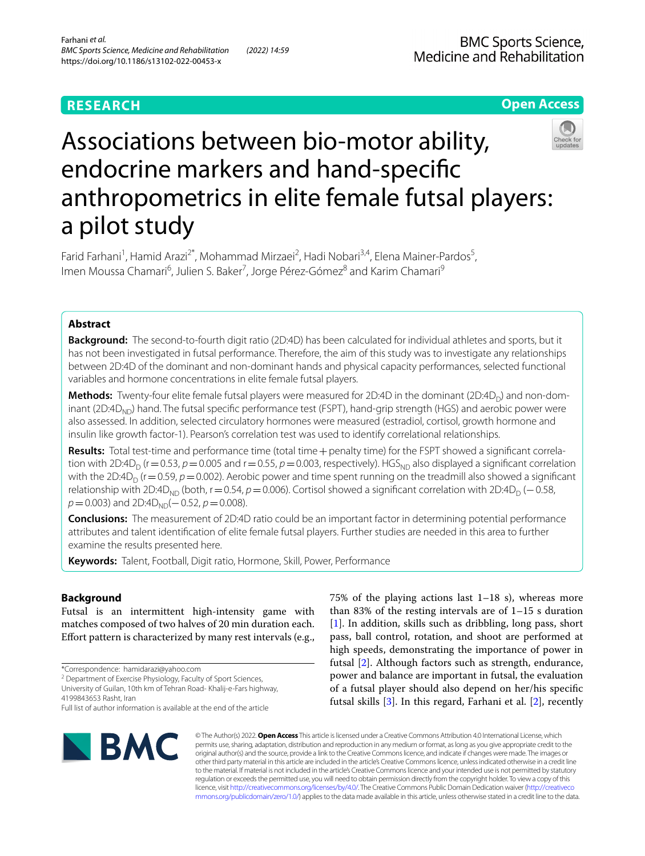# **RESEARCH**

# **Open Access**

# Associations between bio-motor ability, endocrine markers and hand-specifc anthropometrics in elite female futsal players: a pilot study

Farid Farhani<sup>1</sup>, Hamid Arazi<sup>2\*</sup>, Mohammad Mirzaei<sup>2</sup>, Hadi Nobari<sup>3,4</sup>, Elena Mainer-Pardos<sup>5</sup>, Imen Moussa Chamari<sup>6</sup>, Julien S. Baker<sup>7</sup>, Jorge Pérez-Gómez<sup>8</sup> and Karim Chamari<sup>9</sup>

# **Abstract**

**Background:** The second-to-fourth digit ratio (2D:4D) has been calculated for individual athletes and sports, but it has not been investigated in futsal performance. Therefore, the aim of this study was to investigate any relationships between 2D:4D of the dominant and non-dominant hands and physical capacity performances, selected functional variables and hormone concentrations in elite female futsal players.

**Methods:** Twenty-four elite female futsal players were measured for 2D:4D in the dominant (2D:4D<sub>D</sub>) and non-dominant (2D:4D<sub>ND</sub>) hand. The futsal specific performance test (FSPT), hand-grip strength (HGS) and aerobic power were also assessed. In addition, selected circulatory hormones were measured (estradiol, cortisol, growth hormone and insulin like growth factor-1). Pearson's correlation test was used to identify correlational relationships.

Results: Total test-time and performance time (total time + penalty time) for the FSPT showed a significant correlation with 2D:4D<sub>D</sub> (r = 0.53,  $p$  = 0.005 and r = 0.55,  $p$  = 0.003, respectively). HGS<sub>ND</sub> also displayed a significant correlation with the 2D:4D<sub>D</sub> ( $r=0.59$ ,  $p=0.002$ ). Aerobic power and time spent running on the treadmill also showed a significant relationship with 2D:4D<sub>ND</sub> (both, r=0.54,  $p=0.006$ ). Cortisol showed a significant correlation with 2D:4D<sub>D</sub> (−0.58, *p*=0.003) and 2D:4D<sub>ND</sub>(−0.52, *p*=0.008).

**Conclusions:** The measurement of 2D:4D ratio could be an important factor in determining potential performance attributes and talent identifcation of elite female futsal players. Further studies are needed in this area to further examine the results presented here.

**Keywords:** Talent, Football, Digit ratio, Hormone, Skill, Power, Performance

# **Background**

Futsal is an intermittent high-intensity game with matches composed of two halves of 20 min duration each. Efort pattern is characterized by many rest intervals (e.g.,

\*Correspondence: hamidarazi@yahoo.com

<sup>2</sup> Department of Exercise Physiology, Faculty of Sport Sciences,

University of Guilan, 10th km of Tehran Road‑ Khalij‑e‑Fars highway, 4199843653 Rasht, Iran

**BMC** 

75% of the playing actions last 1–18 s), whereas more than 83% of the resting intervals are of 1–15 s duration [[1\]](#page-6-0). In addition, skills such as dribbling, long pass, short pass, ball control, rotation, and shoot are performed at high speeds, demonstrating the importance of power in futsal [[2\]](#page-6-1). Although factors such as strength, endurance, power and balance are important in futsal, the evaluation of a futsal player should also depend on her/his specifc futsal skills [[3\]](#page-6-2). In this regard, Farhani et al. [\[2](#page-6-1)], recently

© The Author(s) 2022. **Open Access** This article is licensed under a Creative Commons Attribution 4.0 International License, which permits use, sharing, adaptation, distribution and reproduction in any medium or format, as long as you give appropriate credit to the original author(s) and the source, provide a link to the Creative Commons licence, and indicate if changes were made. The images or other third party material in this article are included in the article's Creative Commons licence, unless indicated otherwise in a credit line to the material. If material is not included in the article's Creative Commons licence and your intended use is not permitted by statutory regulation or exceeds the permitted use, you will need to obtain permission directly from the copyright holder. To view a copy of this licence, visit [http://creativecommons.org/licenses/by/4.0/.](http://creativecommons.org/licenses/by/4.0/) The Creative Commons Public Domain Dedication waiver ([http://creativeco](http://creativecommons.org/publicdomain/zero/1.0/) [mmons.org/publicdomain/zero/1.0/](http://creativecommons.org/publicdomain/zero/1.0/)) applies to the data made available in this article, unless otherwise stated in a credit line to the data.

Full list of author information is available at the end of the article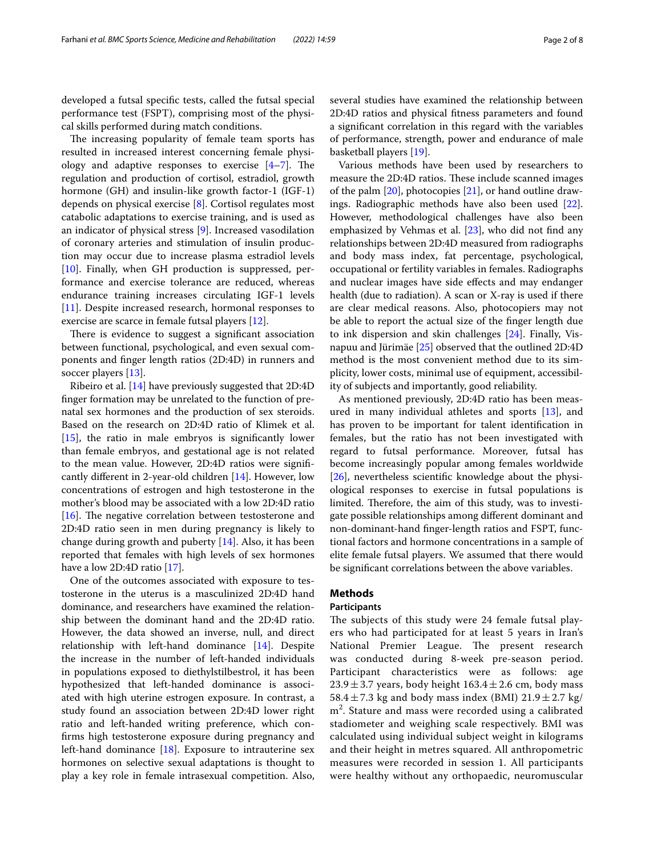developed a futsal specifc tests, called the futsal special performance test (FSPT), comprising most of the physical skills performed during match conditions.

The increasing popularity of female team sports has resulted in increased interest concerning female physiology and adaptive responses to exercise  $[4-7]$  $[4-7]$ . The regulation and production of cortisol, estradiol, growth hormone (GH) and insulin-like growth factor-1 (IGF-1) depends on physical exercise [\[8](#page-6-5)]. Cortisol regulates most catabolic adaptations to exercise training, and is used as an indicator of physical stress [\[9\]](#page-6-6). Increased vasodilation of coronary arteries and stimulation of insulin production may occur due to increase plasma estradiol levels [[10\]](#page-6-7). Finally, when GH production is suppressed, performance and exercise tolerance are reduced, whereas endurance training increases circulating IGF-1 levels [[11\]](#page-6-8). Despite increased research, hormonal responses to exercise are scarce in female futsal players [[12\]](#page-6-9).

There is evidence to suggest a significant association between functional, psychological, and even sexual components and fnger length ratios (2D:4D) in runners and soccer players [\[13](#page-6-10)].

Ribeiro et al. [\[14\]](#page-6-11) have previously suggested that 2D:4D fnger formation may be unrelated to the function of prenatal sex hormones and the production of sex steroids. Based on the research on 2D:4D ratio of Klimek et al. [[15\]](#page-6-12), the ratio in male embryos is signifcantly lower than female embryos, and gestational age is not related to the mean value. However, 2D:4D ratios were signifcantly diferent in 2-year-old children [[14\]](#page-6-11). However, low concentrations of estrogen and high testosterone in the mother's blood may be associated with a low 2D:4D ratio [[16\]](#page-6-13). The negative correlation between testosterone and 2D:4D ratio seen in men during pregnancy is likely to change during growth and puberty [[14\]](#page-6-11). Also, it has been reported that females with high levels of sex hormones have a low 2D:4D ratio [[17\]](#page-6-14).

One of the outcomes associated with exposure to testosterone in the uterus is a masculinized 2D:4D hand dominance, and researchers have examined the relationship between the dominant hand and the 2D:4D ratio. However, the data showed an inverse, null, and direct relationship with left-hand dominance [\[14](#page-6-11)]. Despite the increase in the number of left-handed individuals in populations exposed to diethylstilbestrol, it has been hypothesized that left-handed dominance is associated with high uterine estrogen exposure. In contrast, a study found an association between 2D:4D lower right ratio and left-handed writing preference, which confrms high testosterone exposure during pregnancy and left-hand dominance [[18\]](#page-6-15). Exposure to intrauterine sex hormones on selective sexual adaptations is thought to play a key role in female intrasexual competition. Also,

several studies have examined the relationship between 2D:4D ratios and physical ftness parameters and found a signifcant correlation in this regard with the variables of performance, strength, power and endurance of male basketball players [\[19\]](#page-6-16).

Various methods have been used by researchers to measure the 2D:4D ratios. These include scanned images of the palm  $[20]$  $[20]$ , photocopies  $[21]$  $[21]$ , or hand outline drawings. Radiographic methods have also been used [\[22](#page-6-19)]. However, methodological challenges have also been emphasized by Vehmas et al. [\[23\]](#page-6-20), who did not fnd any relationships between 2D:4D measured from radiographs and body mass index, fat percentage, psychological, occupational or fertility variables in females. Radiographs and nuclear images have side efects and may endanger health (due to radiation). A scan or X-ray is used if there are clear medical reasons. Also, photocopiers may not be able to report the actual size of the fnger length due to ink dispersion and skin challenges [[24\]](#page-6-21). Finally, Visnapuu and Jürimäe [\[25](#page-6-22)] observed that the outlined 2D:4D method is the most convenient method due to its simplicity, lower costs, minimal use of equipment, accessibility of subjects and importantly, good reliability.

As mentioned previously, 2D:4D ratio has been measured in many individual athletes and sports [\[13](#page-6-10)], and has proven to be important for talent identifcation in females, but the ratio has not been investigated with regard to futsal performance. Moreover, futsal has become increasingly popular among females worldwide [[26\]](#page-6-23), nevertheless scientifc knowledge about the physiological responses to exercise in futsal populations is limited. Therefore, the aim of this study, was to investigate possible relationships among diferent dominant and non-dominant-hand fnger-length ratios and FSPT, functional factors and hormone concentrations in a sample of elite female futsal players. We assumed that there would be signifcant correlations between the above variables.

#### **Methods**

#### **Participants**

The subjects of this study were 24 female futsal players who had participated for at least 5 years in Iran's National Premier League. The present research was conducted during 8-week pre-season period. Participant characteristics were as follows: age 23.9 $\pm$ 3.7 years, body height 163.4 $\pm$ 2.6 cm, body mass 58.4 $\pm$ 7.3 kg and body mass index (BMI) 21.9 $\pm$ 2.7 kg/ m<sup>2</sup>. Stature and mass were recorded using a calibrated stadiometer and weighing scale respectively. BMI was calculated using individual subject weight in kilograms and their height in metres squared. All anthropometric measures were recorded in session 1. All participants were healthy without any orthopaedic, neuromuscular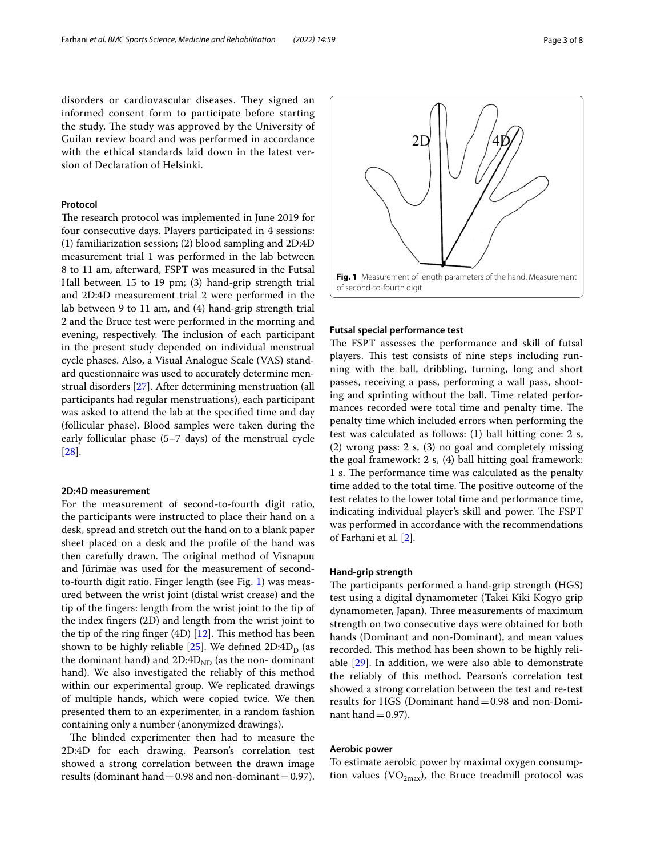disorders or cardiovascular diseases. They signed an informed consent form to participate before starting the study. The study was approved by the University of Guilan review board and was performed in accordance with the ethical standards laid down in the latest version of Declaration of Helsinki.

### **Protocol**

The research protocol was implemented in June 2019 for four consecutive days. Players participated in 4 sessions: (1) familiarization session; (2) blood sampling and 2D:4D measurement trial 1 was performed in the lab between 8 to 11 am, afterward, FSPT was measured in the Futsal Hall between 15 to 19 pm; (3) hand-grip strength trial and 2D:4D measurement trial 2 were performed in the lab between 9 to 11 am, and (4) hand-grip strength trial 2 and the Bruce test were performed in the morning and evening, respectively. The inclusion of each participant in the present study depended on individual menstrual cycle phases. Also, a Visual Analogue Scale (VAS) standard questionnaire was used to accurately determine menstrual disorders [[27\]](#page-6-24). After determining menstruation (all participants had regular menstruations), each participant was asked to attend the lab at the specifed time and day (follicular phase). Blood samples were taken during the early follicular phase (5–7 days) of the menstrual cycle [[28\]](#page-6-25).

#### **2D:4D measurement**

For the measurement of second-to-fourth digit ratio, the participants were instructed to place their hand on a desk, spread and stretch out the hand on to a blank paper sheet placed on a desk and the profle of the hand was then carefully drawn. The original method of Visnapuu and Jürimäe was used for the measurement of secondto-fourth digit ratio. Finger length (see Fig. [1\)](#page-2-0) was measured between the wrist joint (distal wrist crease) and the tip of the fngers: length from the wrist joint to the tip of the index fngers (2D) and length from the wrist joint to the tip of the ring finger  $(4D)$  [\[12\]](#page-6-9). This method has been shown to be highly reliable [\[25](#page-6-22)]. We defined  $2D:4D_D$  (as the dominant hand) and  $2D:4D_{ND}$  (as the non-dominant hand). We also investigated the reliably of this method within our experimental group. We replicated drawings of multiple hands, which were copied twice. We then presented them to an experimenter, in a random fashion containing only a number (anonymized drawings).

The blinded experimenter then had to measure the 2D:4D for each drawing. Pearson's correlation test showed a strong correlation between the drawn image results (dominant hand  $=0.98$  and non-dominant  $=0.97$ ).



#### <span id="page-2-0"></span>**Futsal special performance test**

The FSPT assesses the performance and skill of futsal players. This test consists of nine steps including running with the ball, dribbling, turning, long and short passes, receiving a pass, performing a wall pass, shooting and sprinting without the ball. Time related performances recorded were total time and penalty time. The penalty time which included errors when performing the test was calculated as follows: (1) ball hitting cone: 2 s, (2) wrong pass: 2 s, (3) no goal and completely missing the goal framework: 2 s, (4) ball hitting goal framework: 1 s. The performance time was calculated as the penalty time added to the total time. The positive outcome of the test relates to the lower total time and performance time, indicating individual player's skill and power. The FSPT was performed in accordance with the recommendations of Farhani et al. [\[2](#page-6-1)].

#### **Hand‑grip strength**

The participants performed a hand-grip strength (HGS) test using a digital dynamometer (Takei Kiki Kogyo grip dynamometer, Japan). Three measurements of maximum strength on two consecutive days were obtained for both hands (Dominant and non-Dominant), and mean values recorded. This method has been shown to be highly reliable  $[29]$  $[29]$ . In addition, we were also able to demonstrate the reliably of this method. Pearson's correlation test showed a strong correlation between the test and re-test results for HGS (Dominant hand=0.98 and non-Dominant hand  $= 0.97$ ).

#### **Aerobic power**

To estimate aerobic power by maximal oxygen consumption values ( $\rm VO_{2max}$ ), the Bruce treadmill protocol was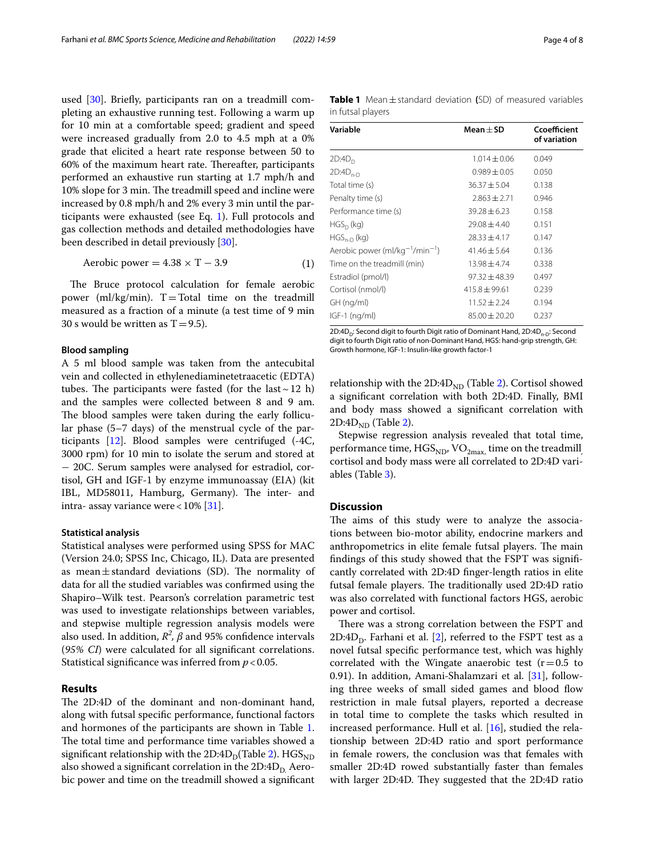used [[30\]](#page-6-27). Briefy, participants ran on a treadmill completing an exhaustive running test. Following a warm up for 10 min at a comfortable speed; gradient and speed were increased gradually from 2.0 to 4.5 mph at a 0% grade that elicited a heart rate response between 50 to 60% of the maximum heart rate. Thereafter, participants performed an exhaustive run starting at 1.7 mph/h and 10% slope for 3 min. The treadmill speed and incline were increased by 0.8 mph/h and 2% every 3 min until the participants were exhausted (see Eq. [1](#page-3-0)). Full protocols and gas collection methods and detailed methodologies have been described in detail previously [[30\]](#page-6-27).

$$
Aerobic power = 4.38 \times T - 3.9 \tag{1}
$$

The Bruce protocol calculation for female aerobic power (ml/kg/min).  $T=Total$  time on the treadmill measured as a fraction of a minute (a test time of 9 min 30 s would be written as  $T = 9.5$ ).

#### **Blood sampling**

A 5 ml blood sample was taken from the antecubital vein and collected in ethylenediaminetetraacetic (EDTA) tubes. The participants were fasted (for the last  $\sim$  12 h) and the samples were collected between 8 and 9 am. The blood samples were taken during the early follicular phase (5–7 days) of the menstrual cycle of the participants [\[12](#page-6-9)]. Blood samples were centrifuged (-4C, 3000 rpm) for 10 min to isolate the serum and stored at − 20C. Serum samples were analysed for estradiol, cortisol, GH and IGF-1 by enzyme immunoassay (EIA) (kit IBL, MD58011, Hamburg, Germany). The inter- and intra- assay variance were <  $10\%$  [[31](#page-6-28)].

#### **Statistical analysis**

Statistical analyses were performed using SPSS for MAC (Version 24.0; SPSS Inc, Chicago, IL). Data are presented as mean $\pm$ standard deviations (SD). The normality of data for all the studied variables was confrmed using the Shapiro–Wilk test. Pearson's correlation parametric test was used to investigate relationships between variables, and stepwise multiple regression analysis models were also used. In addition,  $R^2$ ,  $\beta$  and 95% confidence intervals (*95% CI*) were calculated for all signifcant correlations. Statistical signifcance was inferred from *p*<0.05.

# **Results**

The 2D:4D of the dominant and non-dominant hand, along with futsal specifc performance, functional factors and hormones of the participants are shown in Table [1](#page-3-1). The total time and performance time variables showed a significant relationship with the  $2D:4D_D(Table 2)$  $2D:4D_D(Table 2)$ . HGS<sub>ND</sub> also showed a significant correlation in the  $2D:4D_D$  Aerobic power and time on the treadmill showed a signifcant <span id="page-3-1"></span>**Table 1** Mean±standard deviation **(**SD) of measured variables in futsal players

| Variable                                                | Mean $\pm$ SD     | Ccoefficient<br>of variation |
|---------------------------------------------------------|-------------------|------------------------------|
| 2D:4D <sub>n</sub>                                      | $1.014 \pm 0.06$  | 0.049                        |
| $2D:4D_{n-D}$                                           | $0.989 \pm 0.05$  | 0.050                        |
| Total time (s)                                          | $36.37 \pm 5.04$  | 0.138                        |
| Penalty time (s)                                        | $2.863 \pm 2.71$  | 0.946                        |
| Performance time (s)                                    | $39.28 \pm 6.23$  | 0.158                        |
| $HGSD$ (kg)                                             | $29.08 \pm 4.40$  | 0.151                        |
| $HGS_{n-D}$ (kg)                                        | $28.33 \pm 4.17$  | 0.147                        |
| Aerobic power (ml/kg <sup>-1</sup> /min <sup>-1</sup> ) | $41.46 \pm 5.64$  | 0.136                        |
| Time on the treadmill (min)                             | $13.98 \pm 4.74$  | 0.338                        |
| Estradiol (pmol/l)                                      | $97.32 \pm 48.39$ | 0.497                        |
| Cortisol (nmol/l)                                       | $415.8 \pm 99.61$ | 0.239                        |
| GH (ng/ml)                                              | $11.52 \pm 2.24$  | 0.194                        |
| IGF-1 (ng/ml)                                           | $85.00 \pm 20.20$ | 0.237                        |

<span id="page-3-0"></span>2D:4D<sub>p</sub>: Second digit to fourth Digit ratio of Dominant Hand, 2D:4D<sub>np</sub>: Second digit to fourth Digit ratio of non-Dominant Hand, HGS: hand-grip strength, GH: Growth hormone, IGF-1: Insulin-like growth factor-1

relationship with the  $2D:4D_{ND}$  (Table [2\)](#page-4-0). Cortisol showed a signifcant correlation with both 2D:4D. Finally, BMI and body mass showed a signifcant correlation with  $2D:4D_{ND}$  (Table [2\)](#page-4-0).

Stepwise regression analysis revealed that total time, performance time, HGS<sub>ND</sub>, VO<sub>2max</sub>, time on the treadmill<sub>,</sub> cortisol and body mass were all correlated to 2D:4D variables (Table [3](#page-4-1)).

# **Discussion**

The aims of this study were to analyze the associations between bio-motor ability, endocrine markers and anthropometrics in elite female futsal players. The main fndings of this study showed that the FSPT was signifcantly correlated with 2D:4D fnger-length ratios in elite futsal female players. The traditionally used 2D:4D ratio was also correlated with functional factors HGS, aerobic power and cortisol.

There was a strong correlation between the FSPT and 2D:4D<sub>D</sub>. Farhani et al. [\[2](#page-6-1)], referred to the FSPT test as a novel futsal specifc performance test, which was highly correlated with the Wingate anaerobic test  $(r=0.5$  to 0.91). In addition, Amani-Shalamzari et al. [[31\]](#page-6-28), following three weeks of small sided games and blood flow restriction in male futsal players, reported a decrease in total time to complete the tasks which resulted in increased performance. Hull et al. [\[16\]](#page-6-13), studied the relationship between 2D:4D ratio and sport performance in female rowers, the conclusion was that females with smaller 2D:4D rowed substantially faster than females with larger 2D:4D. They suggested that the 2D:4D ratio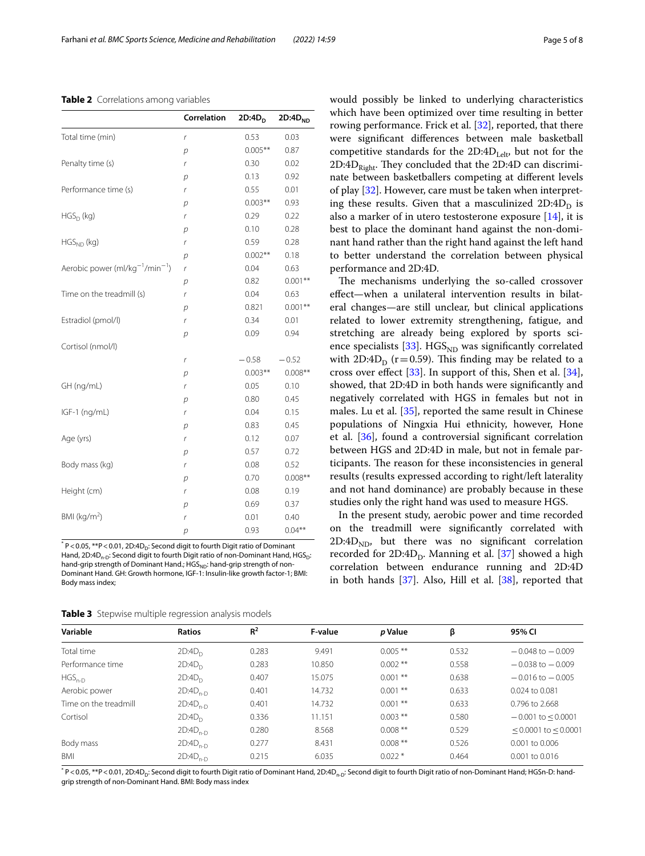<span id="page-4-0"></span>

|                                                         | Correlation | 2D:4D <sub>b</sub> | $2D:4D_{ND}$ |
|---------------------------------------------------------|-------------|--------------------|--------------|
| Total time (min)                                        | r           | 0.53               | 0.03         |
|                                                         | р           | $0.005***$         | 0.87         |
| Penalty time (s)                                        | r           | 0.30               | 0.02         |
|                                                         | р           | 0.13               | 0.92         |
| Performance time (s)                                    | r           | 0.55               | 0.01         |
|                                                         | р           | $0.003**$          | 0.93         |
| $HGS_{D}$ (kg)                                          | r           | 0.29               | 0.22         |
|                                                         | р           | 0.10               | 0.28         |
| $HGSND$ (kg)                                            | r           | 0.59               | 0.28         |
|                                                         | р           | $0.002**$          | 0.18         |
| Aerobic power (ml/kg <sup>-1</sup> /min <sup>-1</sup> ) | r           | 0.04               | 0.63         |
|                                                         | р           | 0.82               | $0.001***$   |
| Time on the treadmill (s)                               | r           | 0.04               | 0.63         |
|                                                         | р           | 0.821              | $0.001**$    |
| Estradiol (pmol/l)                                      | r           | 0.34               | 0.01         |
|                                                         | р           | 0.09               | 0.94         |
| Cortisol (nmol/l)                                       |             |                    |              |
|                                                         | r           | $-0.58$            | $-0.52$      |
|                                                         | р           | $0.003**$          | $0.008**$    |
| GH (ng/mL)                                              | r           | 0.05               | 0.10         |
|                                                         | р           | 0.80               | 0.45         |
| IGF-1 (ng/mL)                                           | r           | 0.04               | 0.15         |
|                                                         | р           | 0.83               | 0.45         |
| Age (yrs)                                               | r           | 0.12               | 0.07         |
|                                                         | р           | 0.57               | 0.72         |
| Body mass (kg)                                          | r           | 0.08               | 0.52         |
|                                                         | р           | 0.70               | $0.008**$    |
| Height (cm)                                             | r           | 0.08               | 0.19         |
|                                                         | р           | 0.69               | 0.37         |
| BMI ( $kg/m2$ )                                         | r           | 0.01               | 0.40         |
|                                                         | р           | 0.93               | $0.04***$    |

 $^*$  P < 0.05,  $^{**}$ P < 0.01, 2D:4D<sub>D</sub>: Second digit to fourth Digit ratio of Dominant Hand, 2D:4D<sub>n-D</sub>: Second digit to fourth Digit ratio of non-Dominant Hand,  $HGS_{D}$ : hand-grip strength of Dominant Hand.; HGS<sub>ND</sub>: hand-grip strength of non-Dominant Hand. GH: Growth hormone, IGF-1: Insulin-like growth factor-1; BMI: Body mass index;

<span id="page-4-1"></span>

|  |  |  | Table 3 Stepwise multiple regression analysis models |  |  |
|--|--|--|------------------------------------------------------|--|--|
|--|--|--|------------------------------------------------------|--|--|

would possibly be linked to underlying characteristics which have been optimized over time resulting in better rowing performance. Frick et al. [[32\]](#page-6-29), reported, that there were signifcant diferences between male basketball competitive standards for the  $2D:4D_{\text{Left}}$ , but not for the 2D:4D<sub>Right</sub>. They concluded that the 2D:4D can discriminate between basketballers competing at diferent levels of play [\[32](#page-6-29)]. However, care must be taken when interpreting these results. Given that a masculinized  $2D:4D<sub>D</sub>$  is also a marker of in utero testosterone exposure [\[14](#page-6-11)], it is best to place the dominant hand against the non-dominant hand rather than the right hand against the left hand to better understand the correlation between physical performance and 2D:4D.

The mechanisms underlying the so-called crossover efect—when a unilateral intervention results in bilateral changes—are still unclear, but clinical applications related to lower extremity strengthening, fatigue, and stretching are already being explored by sports science specialists [ $33$ ]. HGS<sub>ND</sub> was significantly correlated with 2D:4D<sub>D</sub> (r=0.59). This finding may be related to a cross over efect [[33\]](#page-6-30). In support of this, Shen et al. [\[34](#page-6-31)], showed, that 2D:4D in both hands were signifcantly and negatively correlated with HGS in females but not in males. Lu et al. [[35\]](#page-6-32), reported the same result in Chinese populations of Ningxia Hui ethnicity, however, Hone et al. [\[36](#page-6-33)], found a controversial signifcant correlation between HGS and 2D:4D in male, but not in female participants. The reason for these inconsistencies in general results (results expressed according to right/left laterality and not hand dominance) are probably because in these studies only the right hand was used to measure HGS.

In the present study, aerobic power and time recorded on the treadmill were signifcantly correlated with  $2D:4D<sub>ND</sub>$ , but there was no significant correlation recorded for 2D:4D<sub>D</sub>. Manning et al. [[37\]](#page-6-34) showed a high correlation between endurance running and 2D:4D in both hands [[37](#page-6-34)]. Also, Hill et al. [\[38](#page-7-0)], reported that

| Variable              | <b>Ratios</b>      | $R^2$ | F-value | p Value    | β     | 95% CI                    |
|-----------------------|--------------------|-------|---------|------------|-------|---------------------------|
| Total time            | 2D:4D <sub>n</sub> | 0.283 | 9.491   | $0.005$ ** | 0.532 | $-0.048$ to $-0.009$      |
| Performance time      | 2D:4D <sub>n</sub> | 0.283 | 10.850  | $0.002$ ** | 0.558 | $-0.038$ to $-0.009$      |
| $HGS_{n-D}$           | 2D:4D <sub>n</sub> | 0.407 | 15.075  | $0.001$ ** | 0.638 | $-0.016$ to $-0.005$      |
| Aerobic power         | $2D:4D_{n-D}$      | 0.401 | 14.732  | $0.001$ ** | 0.633 | $0.024$ to $0.081$        |
| Time on the treadmill | $2D:4D_{n-D}$      | 0.401 | 14.732  | $0.001$ ** | 0.633 | 0.796 to 2.668            |
| Cortisol              | 2D:4D <sub>n</sub> | 0.336 | 11.151  | $0.003$ ** | 0.580 | $-0.001$ to $\leq 0.0001$ |
|                       | $2D:4D_{n-D}$      | 0.280 | 8.568   | $0.008$ ** | 0.529 | $< 0.0001$ to $< 0.0001$  |
| Body mass             | $2D:4D_{n-D}$      | 0.277 | 8.431   | $0.008$ ** | 0.526 | 0.001 to 0.006            |
| <b>BMI</b>            | $2D:4D_{n-D}$      | 0.215 | 6.035   | $0.022*$   | 0.464 | $0.001$ to 0.016          |

 $^*$  P<0.05,  $^{**}$ P<0.01, 2D:4D<sub>D</sub>: Second digit to fourth Digit ratio of Dominant Hand, 2D:4D<sub>n-D</sub>: Second digit to fourth Digit ratio of non-Dominant Hand; HGSn-D: handgrip strength of non-Dominant Hand. BMI: Body mass index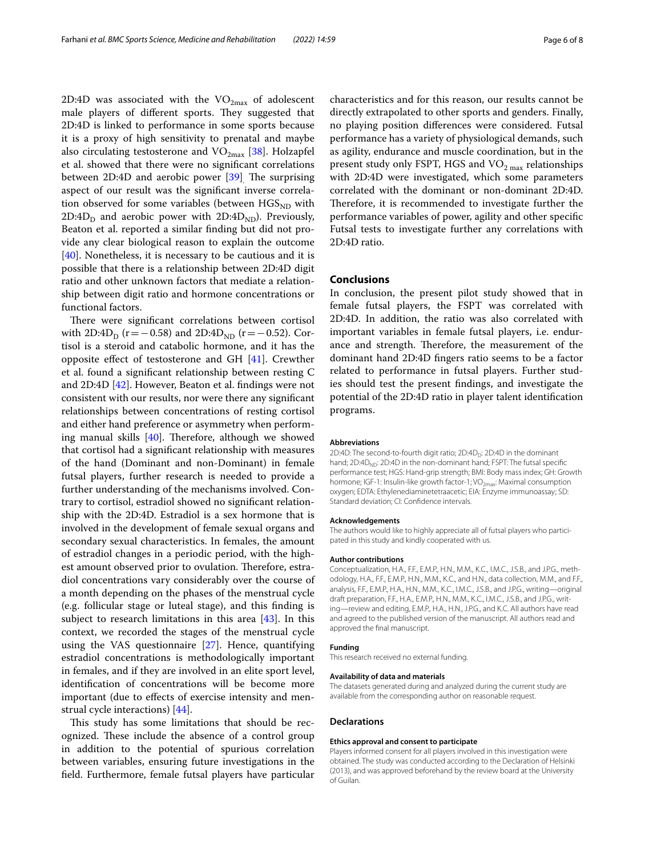2D:4D was associated with the  $VO_{2max}$  of adolescent male players of different sports. They suggested that 2D:4D is linked to performance in some sports because it is a proxy of high sensitivity to prenatal and maybe also circulating testosterone and  $VO_{2max}$  [[38](#page-7-0)]. Holzapfel et al. showed that there were no signifcant correlations between 2D:4D and aerobic power [\[39](#page-7-1)]<sub>.</sub> The surprising aspect of our result was the signifcant inverse correlation observed for some variables (between  $HGS<sub>ND</sub>$  with 2D:4D<sub>D</sub> and aerobic power with 2D:4D<sub>ND</sub>). Previously, Beaton et al. reported a similar fnding but did not provide any clear biological reason to explain the outcome  $[40]$  $[40]$ . Nonetheless, it is necessary to be cautious and it is possible that there is a relationship between 2D:4D digit ratio and other unknown factors that mediate a relationship between digit ratio and hormone concentrations or functional factors.

There were significant correlations between cortisol with 2D:4D<sub>D</sub> (r = − 0.58) and 2D:4D<sub>ND</sub> (r = − 0.52). Cortisol is a steroid and catabolic hormone, and it has the opposite efect of testosterone and GH [[41\]](#page-7-3). Crewther et al. found a signifcant relationship between resting C and 2D:4D [[42\]](#page-7-4). However, Beaton et al. fndings were not consistent with our results, nor were there any signifcant relationships between concentrations of resting cortisol and either hand preference or asymmetry when performing manual skills  $[40]$  $[40]$ . Therefore, although we showed that cortisol had a signifcant relationship with measures of the hand (Dominant and non-Dominant) in female futsal players, further research is needed to provide a further understanding of the mechanisms involved. Contrary to cortisol, estradiol showed no signifcant relationship with the 2D:4D. Estradiol is a sex hormone that is involved in the development of female sexual organs and secondary sexual characteristics. In females, the amount of estradiol changes in a periodic period, with the highest amount observed prior to ovulation. Therefore, estradiol concentrations vary considerably over the course of a month depending on the phases of the menstrual cycle (e.g. follicular stage or luteal stage), and this fnding is subject to research limitations in this area  $[43]$  $[43]$  $[43]$ . In this context, we recorded the stages of the menstrual cycle using the VAS questionnaire [[27](#page-6-24)]. Hence, quantifying estradiol concentrations is methodologically important in females, and if they are involved in an elite sport level, identifcation of concentrations will be become more important (due to efects of exercise intensity and menstrual cycle interactions) [[44](#page-7-6)].

This study has some limitations that should be recognized. These include the absence of a control group in addition to the potential of spurious correlation between variables, ensuring future investigations in the feld. Furthermore, female futsal players have particular characteristics and for this reason, our results cannot be directly extrapolated to other sports and genders. Finally, no playing position diferences were considered. Futsal performance has a variety of physiological demands, such as agility, endurance and muscle coordination, but in the present study only FSPT, HGS and  $\rm VO_{2~max}$  relationships with 2D:4D were investigated, which some parameters correlated with the dominant or non-dominant 2D:4D. Therefore, it is recommended to investigate further the performance variables of power, agility and other specifc Futsal tests to investigate further any correlations with 2D:4D ratio.

#### **Conclusions**

In conclusion, the present pilot study showed that in female futsal players, the FSPT was correlated with 2D:4D. In addition, the ratio was also correlated with important variables in female futsal players, i.e. endurance and strength. Therefore, the measurement of the dominant hand 2D:4D fngers ratio seems to be a factor related to performance in futsal players. Further studies should test the present fndings, and investigate the potential of the 2D:4D ratio in player talent identifcation programs.

#### **Abbreviations**

2D:4D: The second-to-fourth digit ratio; 2D:4D<sub>D</sub>: 2D:4D in the dominant hand; 2D:4D<sub>ND</sub>: 2D:4D in the non-dominant hand; FSPT: The futsal specific performance test; HGS: Hand-grip strength; BMI: Body mass index; GH: Growth hormone; IGF-1: Insulin-like growth factor-1; VO<sub>2max</sub>: Maximal consumption oxygen; EDTA: Ethylenediaminetetraacetic; EIA: Enzyme immunoassay; SD: Standard deviation; CI: Confidence intervals

#### **Acknowledgements**

The authors would like to highly appreciate all of futsal players who participated in this study and kindly cooperated with us.

#### **Author contributions**

Conceptualization, H.A., F.F., E.M.P., H.N., M.M., K.C., I.M.C., J.S.B., and J.P.G., methodology, H.A., F.F., E.M.P., H.N., M.M., K.C., and H.N., data collection, M.M., and F.F., analysis, F.F., E.M.P., H.A., H.N., M.M., K.C., I.M.C., J.S.B., and J.P.G., writing—original draft preparation, F.F., H.A., E.M.P., H.N., M.M., K.C., I.M.C., J.S.B., and J.P.G., writing—review and editing, E.M.P., H.A., H.N., J.P.G., and K.C. All authors have read and agreed to the published version of the manuscript. All authors read and approved the fnal manuscript.

#### **Funding**

This research received no external funding.

#### **Availability of data and materials**

The datasets generated during and analyzed during the current study are available from the corresponding author on reasonable request.

#### **Declarations**

#### **Ethics approval and consent to participate**

Players informed consent for all players involved in this investigation were obtained. The study was conducted according to the Declaration of Helsinki (2013), and was approved beforehand by the review board at the University of Guilan.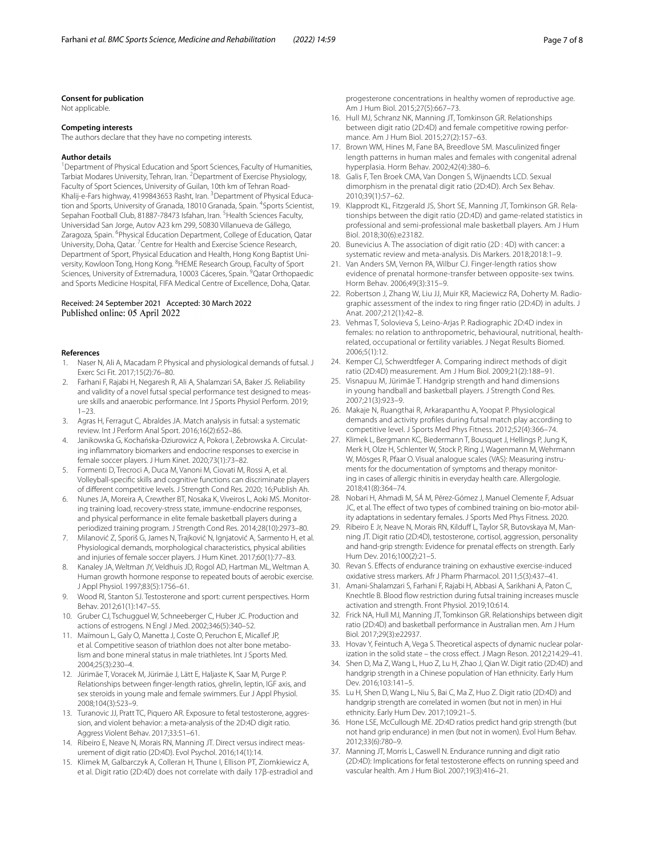#### **Consent for publication**

Not applicable.

#### **Competing interests**

The authors declare that they have no competing interests.

#### **Author details**

<sup>1</sup> Department of Physical Education and Sport Sciences, Faculty of Humanities, Tarbiat Modares University, Tehran, Iran. <sup>2</sup> Department of Exercise Physiology, Faculty of Sport Sciences, University of Guilan, 10th km of Tehran Road-Khalij-e-Fars highway, 4199843653 Rasht, Iran. <sup>3</sup>Department of Physical Education and Sports, University of Granada, 18010 Granada, Spain. <sup>4</sup>Sports Scientist, Sepahan Football Club, 81887-78473 Isfahan, Iran. <sup>5</sup>Health Sciences Faculty, Universidad San Jorge, Autov A23 km 299, 50830 Villanueva de Gállego, Zaragoza, Spain. <sup>6</sup> Physical Education Department, College of Education, Qatar University, Doha, Qatar. <sup>7</sup> Centre for Health and Exercise Science Research, Department of Sport, Physical Education and Health, Hong Kong Baptist University, Kowloon Tong, Hong Kong. <sup>8</sup>HEME Research Group, Faculty of Sport Sciences, University of Extremadura, 10003 Cáceres, Spain. <sup>9</sup>Qatar Orthopaedic and Sports Medicine Hospital, FIFA Medical Centre of Excellence, Doha, Qatar.

#### Received: 24 September 2021 Accepted: 30 March 2022 Published online: 05 April 2022

#### **References**

- <span id="page-6-0"></span>Naser N, Ali A, Macadam P. Physical and physiological demands of futsal. J Exerc Sci Fit. 2017;15(2):76–80.
- <span id="page-6-1"></span>2. Farhani F, Rajabi H, Negaresh R, Ali A, Shalamzari SA, Baker JS. Reliability and validity of a novel futsal special performance test designed to measure skills and anaerobic performance. Int J Sports Physiol Perform. 2019; 1–23.
- <span id="page-6-2"></span>3. Agras H, Ferragut C, Abraldes JA. Match analysis in futsal: a systematic review. Int J Perform Anal Sport. 2016;16(2):652–86.
- <span id="page-6-3"></span>4. Janikowska G, Kochańska-Dziurowicz A, Pokora I, Żebrowska A. Circulating infammatory biomarkers and endocrine responses to exercise in female soccer players. J Hum Kinet. 2020;73(1):73–82.
- 5. Formenti D, Trecroci A, Duca M, Vanoni M, Ciovati M, Rossi A, et al. Volleyball-specifc skills and cognitive functions can discriminate players of diferent competitive levels. J Strength Cond Res. 2020; 16;Publish Ah.
- 6. Nunes JA, Moreira A, Crewther BT, Nosaka K, Viveiros L, Aoki MS. Monitoring training load, recovery-stress state, immune-endocrine responses, and physical performance in elite female basketball players during a periodized training program. J Strength Cond Res. 2014;28(10):2973–80.
- <span id="page-6-4"></span>7. Milanović Z, Sporiš G, James N, Trajković N, Ignjatović A, Sarmento H, et al. Physiological demands, morphological characteristics, physical abilities and injuries of female soccer players. J Hum Kinet. 2017;60(1):77–83.
- <span id="page-6-5"></span>8. Kanaley JA, Weltman JY, Veldhuis JD, Rogol AD, Hartman ML, Weltman A. Human growth hormone response to repeated bouts of aerobic exercise. J Appl Physiol. 1997;83(5):1756–61.
- <span id="page-6-6"></span>9. Wood RI, Stanton SJ. Testosterone and sport: current perspectives. Horm Behav. 2012;61(1):147–55.
- <span id="page-6-7"></span>10. Gruber CJ, Tschugguel W, Schneeberger C, Huber JC. Production and actions of estrogens. N Engl J Med. 2002;346(5):340–52.
- <span id="page-6-8"></span>11. Maïmoun L, Galy O, Manetta J, Coste O, Peruchon E, Micallef JP, et al. Competitive season of triathlon does not alter bone metabolism and bone mineral status in male triathletes. Int J Sports Med. 2004;25(3):230–4.
- <span id="page-6-9"></span>12. Jürimäe T, Voracek M, Jürimäe J, Lätt E, Haljaste K, Saar M, Purge P. Relationships between fnger-length ratios, ghrelin, leptin, IGF axis, and sex steroids in young male and female swimmers. Eur J Appl Physiol. 2008;104(3):523–9.
- <span id="page-6-10"></span>13. Turanovic JJ, Pratt TC, Piquero AR. Exposure to fetal testosterone, aggression, and violent behavior: a meta-analysis of the 2D:4D digit ratio. Aggress Violent Behav. 2017;33:51–61.
- <span id="page-6-11"></span>14. Ribeiro E, Neave N, Morais RN, Manning JT. Direct versus indirect measurement of digit ratio (2D:4D). Evol Psychol. 2016;14(1):14.
- <span id="page-6-12"></span>15. Klimek M, Galbarczyk A, Colleran H, Thune I, Ellison PT, Ziomkiewicz A, et al. Digit ratio (2D:4D) does not correlate with daily 17β-estradiol and

progesterone concentrations in healthy women of reproductive age. Am J Hum Biol. 2015;27(5):667–73.

- <span id="page-6-13"></span>16. Hull MJ, Schranz NK, Manning JT, Tomkinson GR. Relationships between digit ratio (2D:4D) and female competitive rowing performance. Am J Hum Biol. 2015;27(2):157–63.
- <span id="page-6-14"></span>17. Brown WM, Hines M, Fane BA, Breedlove SM. Masculinized fnger length patterns in human males and females with congenital adrenal hyperplasia. Horm Behav. 2002;42(4):380–6.
- <span id="page-6-15"></span>18. Galis F, Ten Broek CMA, Van Dongen S, Wijnaendts LCD. Sexual dimorphism in the prenatal digit ratio (2D:4D). Arch Sex Behav. 2010;39(1):57–62.
- <span id="page-6-16"></span>19. Klapprodt KL, Fitzgerald JS, Short SE, Manning JT, Tomkinson GR. Relationships between the digit ratio (2D:4D) and game-related statistics in professional and semi-professional male basketball players. Am J Hum Biol. 2018;30(6):e23182.
- <span id="page-6-17"></span>20. Bunevicius A. The association of digit ratio (2D : 4D) with cancer: a systematic review and meta-analysis. Dis Markers. 2018;2018:1–9.
- <span id="page-6-18"></span>21. Van Anders SM, Vernon PA, Wilbur CJ. Finger-length ratios show evidence of prenatal hormone-transfer between opposite-sex twins. Horm Behav. 2006;49(3):315–9.
- <span id="page-6-19"></span>22. Robertson J, Zhang W, Liu JJ, Muir KR, Maciewicz RA, Doherty M. Radiographic assessment of the index to ring fnger ratio (2D:4D) in adults. J Anat. 2007;212(1):42–8.
- <span id="page-6-20"></span>23. Vehmas T, Solovieva S, Leino-Arjas P. Radiographic 2D:4D index in females: no relation to anthropometric, behavioural, nutritional, healthrelated, occupational or fertility variables. J Negat Results Biomed. 2006;5(1):12.
- <span id="page-6-21"></span>24. Kemper CJ, Schwerdtfeger A. Comparing indirect methods of digit ratio (2D:4D) measurement. Am J Hum Biol. 2009;21(2):188–91.
- <span id="page-6-22"></span>25. Visnapuu M, Jürimäe T. Handgrip strength and hand dimensions in young handball and basketball players. J Strength Cond Res. 2007;21(3):923–9.
- <span id="page-6-23"></span>26. Makaje N, Ruangthai R, Arkarapanthu A, Yoopat P. Physiological demands and activity profles during futsal match play according to competitive level. J Sports Med Phys Fitness. 2012;52(4):366–74.
- <span id="page-6-24"></span>27. Klimek L, Bergmann KC, Biedermann T, Bousquet J, Hellings P, Jung K, Merk H, Olze H, Schlenter W, Stock P, Ring J, Wagenmann M, Wehrmann W, Mösges R, Pfaar O. Visual analogue scales (VAS): Measuring instruments for the documentation of symptoms and therapy monitoring in cases of allergic rhinitis in everyday health care. Allergologie. 2018;41(8):364–74.
- <span id="page-6-25"></span>28. Nobari H, Ahmadi M, SÁ M, Pérez-Gómez J, Manuel Clemente F, Adsuar JC, et al. The effect of two types of combined training on bio-motor ability adaptations in sedentary females. J Sports Med Phys Fitness. 2020.
- <span id="page-6-26"></span>29. Ribeiro E Jr, Neave N, Morais RN, Kilduff L, Taylor SR, Butovskaya M, Manning JT. Digit ratio (2D:4D), testosterone, cortisol, aggression, personality and hand-grip strength: Evidence for prenatal effects on strength. Early Hum Dev. 2016;100(2):21–5.
- <span id="page-6-27"></span>30. Revan S. Efects of endurance training on exhaustive exercise-induced oxidative stress markers. Afr J Pharm Pharmacol. 2011;5(3):437–41.
- <span id="page-6-28"></span>31. Amani-Shalamzari S, Farhani F, Rajabi H, Abbasi A, Sarikhani A, Paton C, Knechtle B. Blood flow restriction during futsal training increases muscle activation and strength. Front Physiol. 2019;10:614.
- <span id="page-6-29"></span>32. Frick NA, Hull MJ, Manning JT, Tomkinson GR. Relationships between digit ratio (2D:4D) and basketball performance in Australian men. Am J Hum Biol. 2017;29(3):e22937.
- <span id="page-6-30"></span>33. Hovav Y, Feintuch A, Vega S. Theoretical aspects of dynamic nuclear polarization in the solid state – the cross efect. J Magn Reson. 2012;214:29–41.
- <span id="page-6-31"></span>34. Shen D, Ma Z, Wang L, Huo Z, Lu H, Zhao J, Qian W. Digit ratio (2D:4D) and handgrip strength in a Chinese population of Han ethnicity. Early Hum Dev. 2016;103:141–5.
- <span id="page-6-32"></span>35. Lu H, Shen D, Wang L, Niu S, Bai C, Ma Z, Huo Z. Digit ratio (2D:4D) and handgrip strength are correlated in women (but not in men) in Hui ethnicity. Early Hum Dev. 2017;109:21–5.
- <span id="page-6-33"></span>36. Hone LSE, McCullough ME. 2D:4D ratios predict hand grip strength (but not hand grip endurance) in men (but not in women). Evol Hum Behav. 2012;33(6):780–9.
- <span id="page-6-34"></span>37. Manning JT, Morris L, Caswell N. Endurance running and digit ratio (2D:4D): Implications for fetal testosterone efects on running speed and vascular health. Am J Hum Biol. 2007;19(3):416–21.